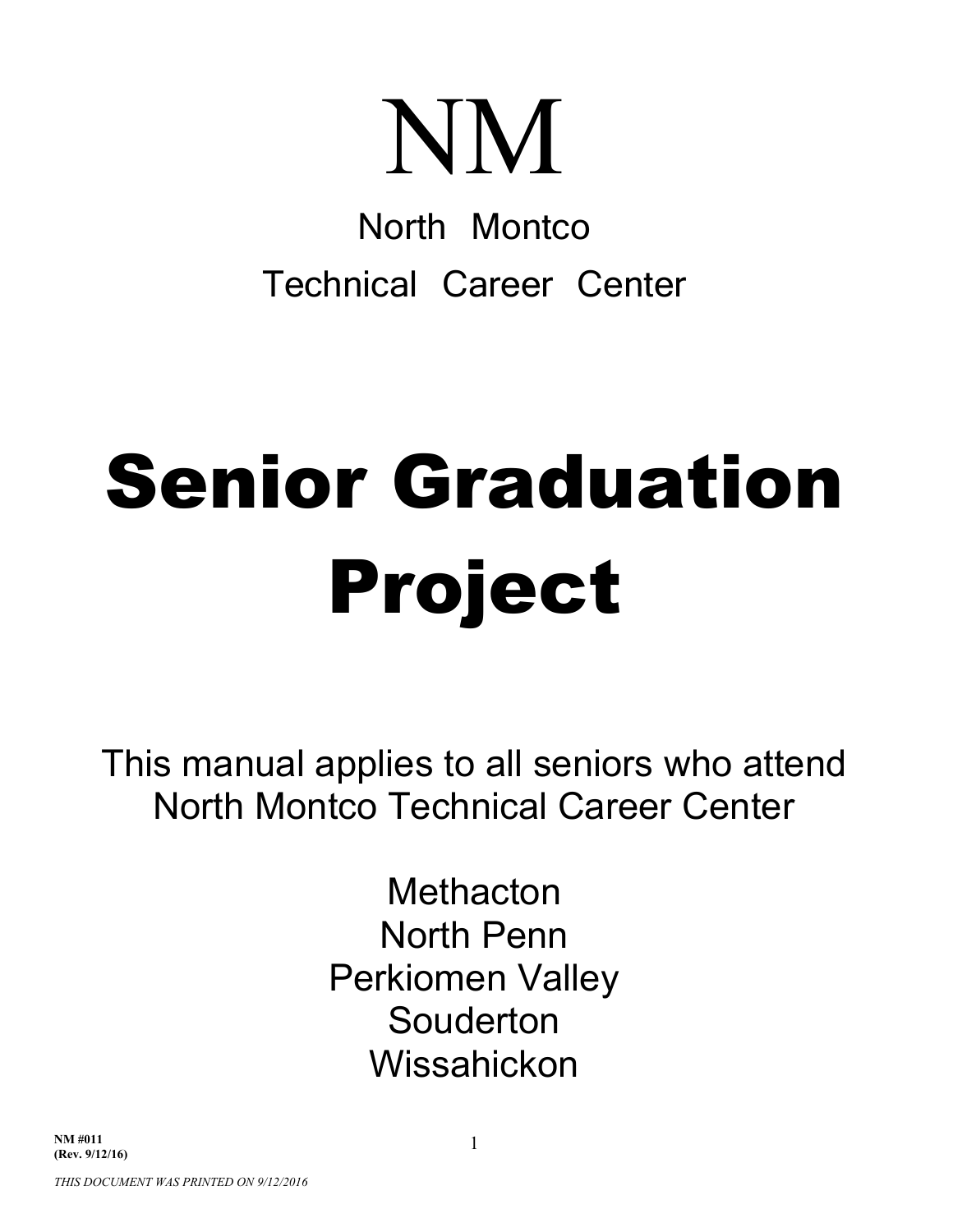# NM

North Montco Technical Career Center

# Senior Graduation Project

This manual applies to all seniors who attend North Montco Technical Career Center

> **Methacton** North Penn Perkiomen Valley Souderton Wissahickon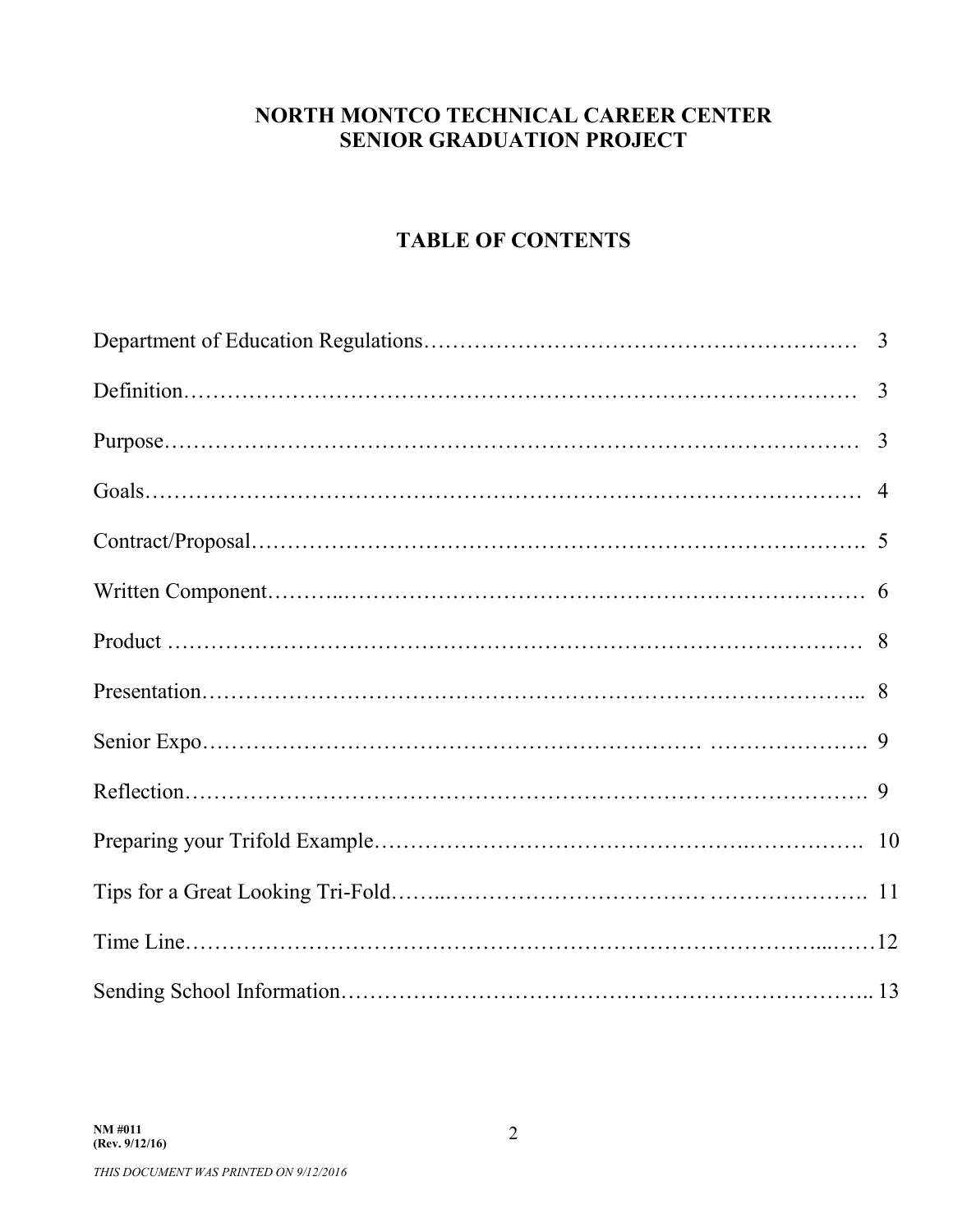#### **NORTH MONTCO TECHNICAL CAREER CENTER SENIOR GRADUATION PROJECT**

#### **TABLE OF CONTENTS**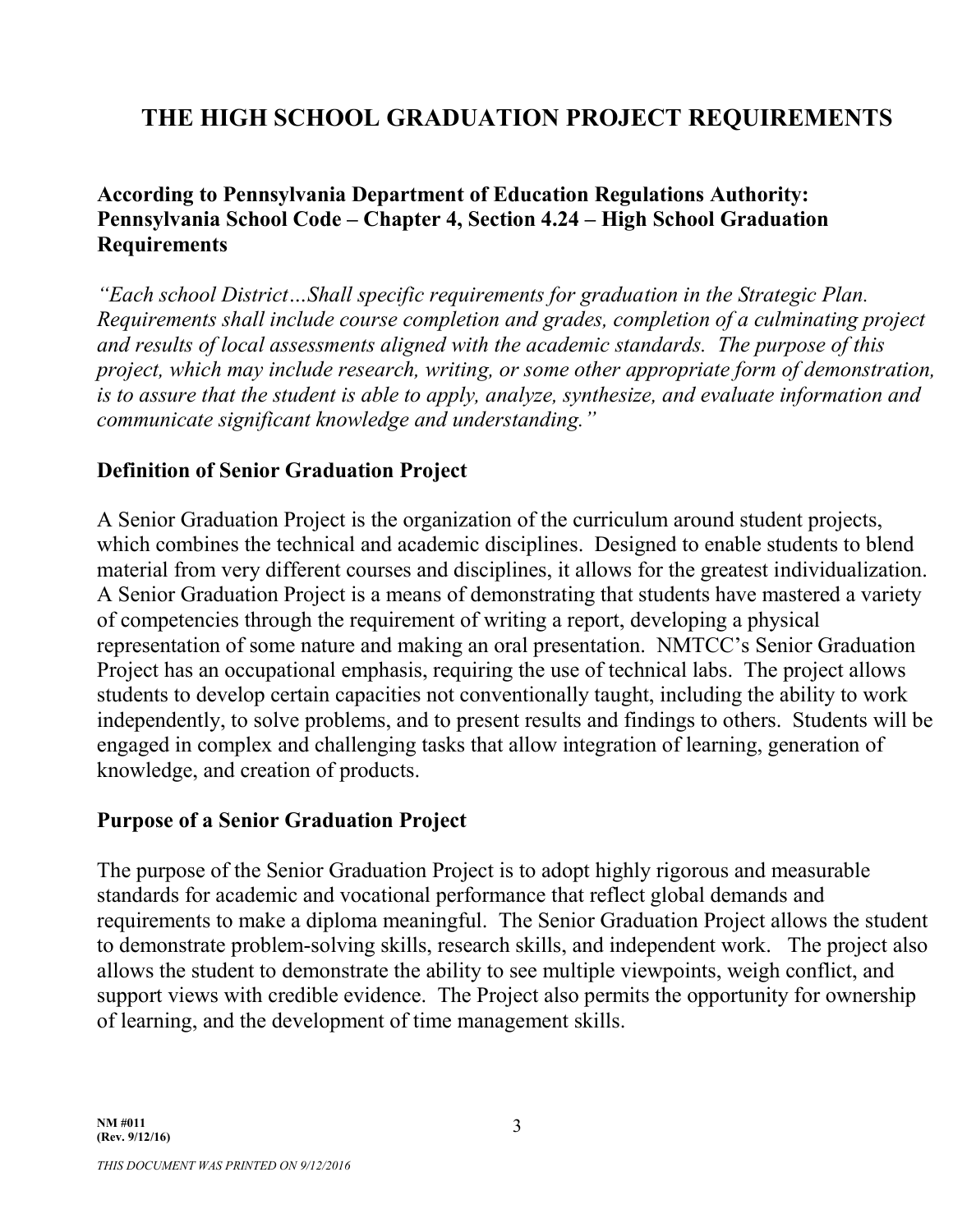## **THE HIGH SCHOOL GRADUATION PROJECT REQUIREMENTS**

#### **According to Pennsylvania Department of Education Regulations Authority: Pennsylvania School Code – Chapter 4, Section 4.24 – High School Graduation Requirements**

*"Each school District…Shall specific requirements for graduation in the Strategic Plan. Requirements shall include course completion and grades, completion of a culminating project and results of local assessments aligned with the academic standards. The purpose of this project, which may include research, writing, or some other appropriate form of demonstration, is to assure that the student is able to apply, analyze, synthesize, and evaluate information and communicate significant knowledge and understanding."*

#### **Definition of Senior Graduation Project**

A Senior Graduation Project is the organization of the curriculum around student projects, which combines the technical and academic disciplines. Designed to enable students to blend material from very different courses and disciplines, it allows for the greatest individualization. A Senior Graduation Project is a means of demonstrating that students have mastered a variety of competencies through the requirement of writing a report, developing a physical representation of some nature and making an oral presentation. NMTCC's Senior Graduation Project has an occupational emphasis, requiring the use of technical labs. The project allows students to develop certain capacities not conventionally taught, including the ability to work independently, to solve problems, and to present results and findings to others. Students will be engaged in complex and challenging tasks that allow integration of learning, generation of knowledge, and creation of products.

#### **Purpose of a Senior Graduation Project**

The purpose of the Senior Graduation Project is to adopt highly rigorous and measurable standards for academic and vocational performance that reflect global demands and requirements to make a diploma meaningful. The Senior Graduation Project allows the student to demonstrate problem-solving skills, research skills, and independent work. The project also allows the student to demonstrate the ability to see multiple viewpoints, weigh conflict, and support views with credible evidence. The Project also permits the opportunity for ownership of learning, and the development of time management skills.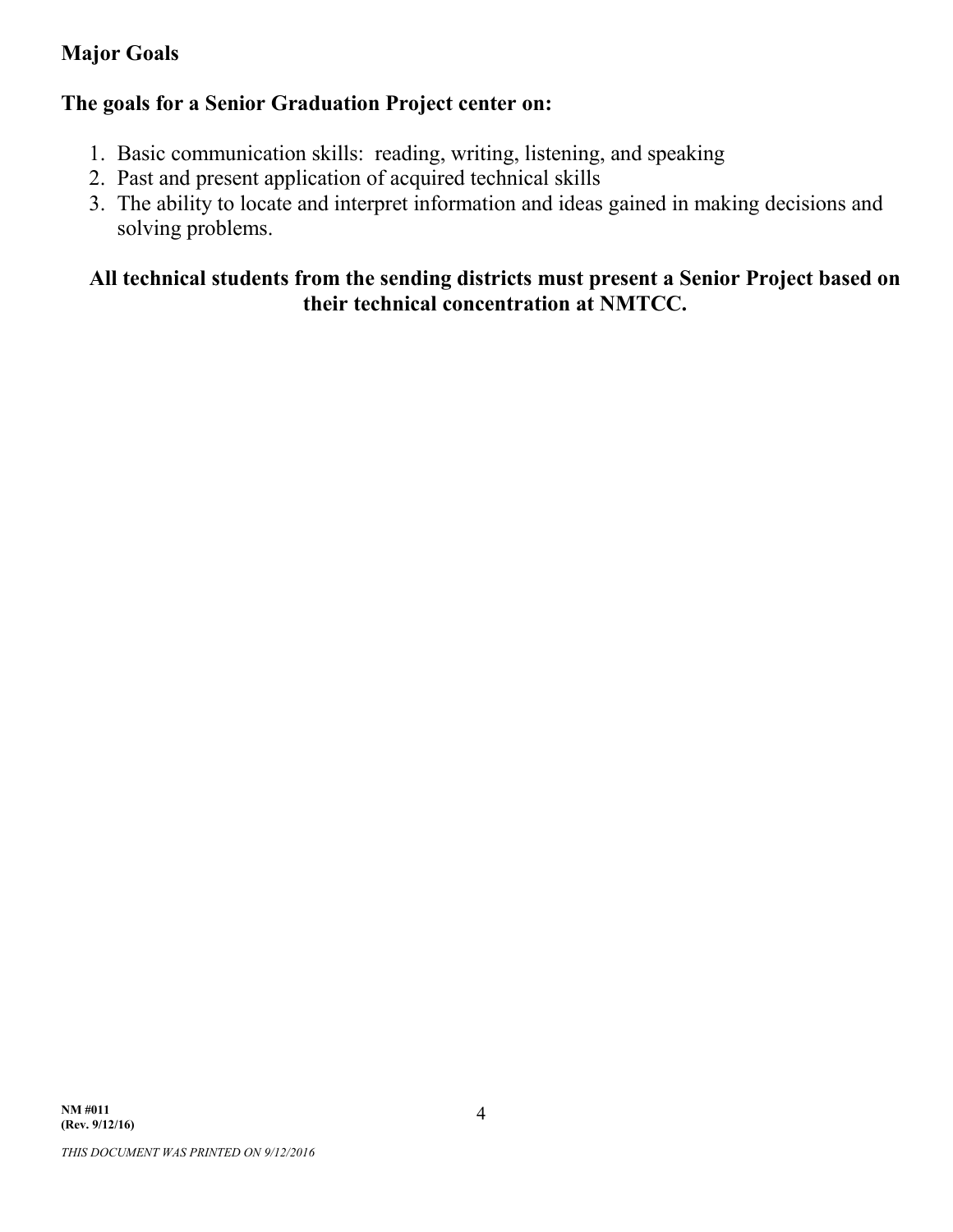#### **Major Goals**

#### **The goals for a Senior Graduation Project center on:**

- 1. Basic communication skills: reading, writing, listening, and speaking
- 2. Past and present application of acquired technical skills
- 3. The ability to locate and interpret information and ideas gained in making decisions and solving problems.

#### **All technical students from the sending districts must present a Senior Project based on their technical concentration at NMTCC.**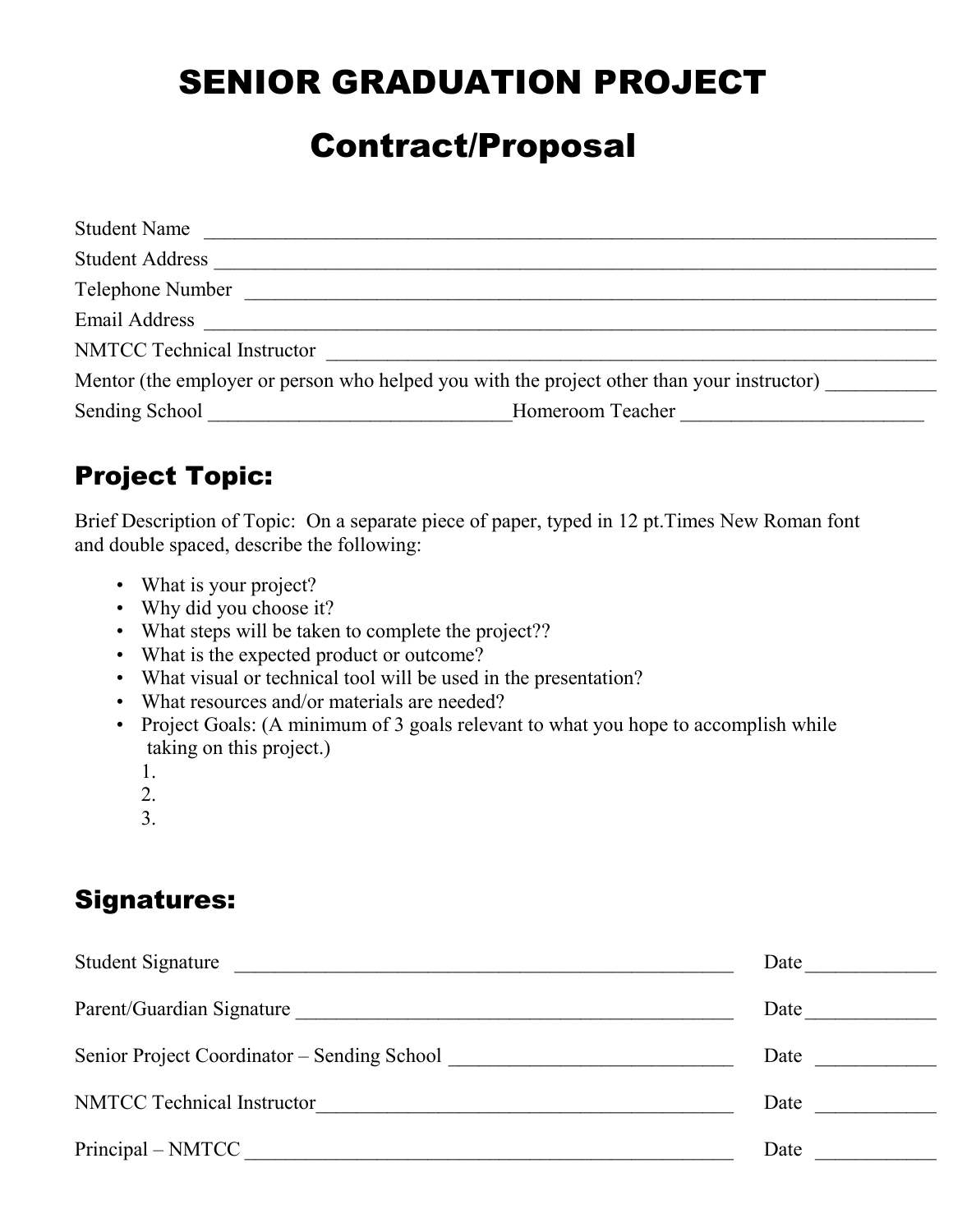# SENIOR GRADUATION PROJECT

# Contract/Proposal

| <b>Student Name</b>               |                                                                                            |
|-----------------------------------|--------------------------------------------------------------------------------------------|
| <b>Student Address</b>            |                                                                                            |
| Telephone Number                  |                                                                                            |
| Email Address                     |                                                                                            |
| <b>NMTCC Technical Instructor</b> |                                                                                            |
|                                   | Mentor (the employer or person who helped you with the project other than your instructor) |
| Sending School                    | Homeroom Teacher                                                                           |

## Project Topic:

Brief Description of Topic: On a separate piece of paper, typed in 12 pt.Times New Roman font and double spaced, describe the following:

- What is your project?
- Why did you choose it?
- What steps will be taken to complete the project??
- What is the expected product or outcome?
- What visual or technical tool will be used in the presentation?
- What resources and/or materials are needed?
- Project Goals: (A minimum of 3 goals relevant to what you hope to accomplish while taking on this project.)
	- 1.
	-
	- 2.
	- 3.

## Signatures:

| <b>Student Signature</b><br><u>and the state of the state of the state of the state of the state of the state of the state of the state of th</u> | Date |
|---------------------------------------------------------------------------------------------------------------------------------------------------|------|
| Parent/Guardian Signature                                                                                                                         | Date |
| Senior Project Coordinator – Sending School                                                                                                       | Date |
| <b>NMTCC</b> Technical Instructor                                                                                                                 | Date |
| Principal – NMTCC                                                                                                                                 | Date |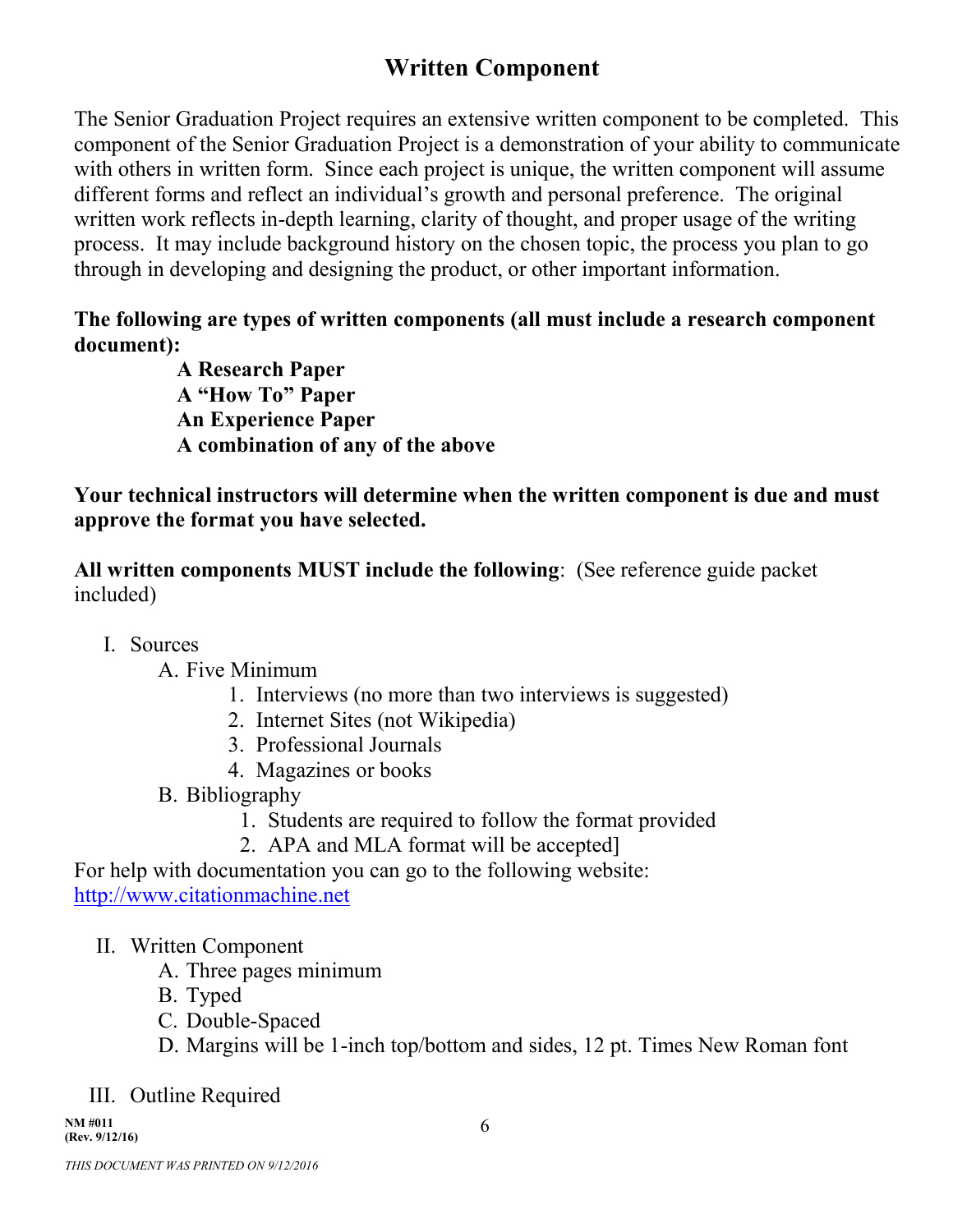## **Written Component**

The Senior Graduation Project requires an extensive written component to be completed. This component of the Senior Graduation Project is a demonstration of your ability to communicate with others in written form. Since each project is unique, the written component will assume different forms and reflect an individual's growth and personal preference. The original written work reflects in-depth learning, clarity of thought, and proper usage of the writing process. It may include background history on the chosen topic, the process you plan to go through in developing and designing the product, or other important information.

#### **The following are types of written components (all must include a research component document):**

**A Research Paper A "How To" Paper An Experience Paper A combination of any of the above**

**Your technical instructors will determine when the written component is due and must approve the format you have selected.**

**All written components MUST include the following**: (See reference guide packet included)

- I. Sources
	- A. Five Minimum
		- 1. Interviews (no more than two interviews is suggested)
		- 2. Internet Sites (not Wikipedia)
		- 3. Professional Journals
		- 4. Magazines or books
	- B. Bibliography
		- 1. Students are required to follow the format provided
		- 2. APA and MLA format will be accepted]

For help with documentation you can go to the following website: http://www.citationmachine.net

- II. Written Component
	- A. Three pages minimum
	- B. Typed
	- C. Double-Spaced
	- D. Margins will be 1-inch top/bottom and sides, 12 pt. Times New Roman font
- III. Outline Required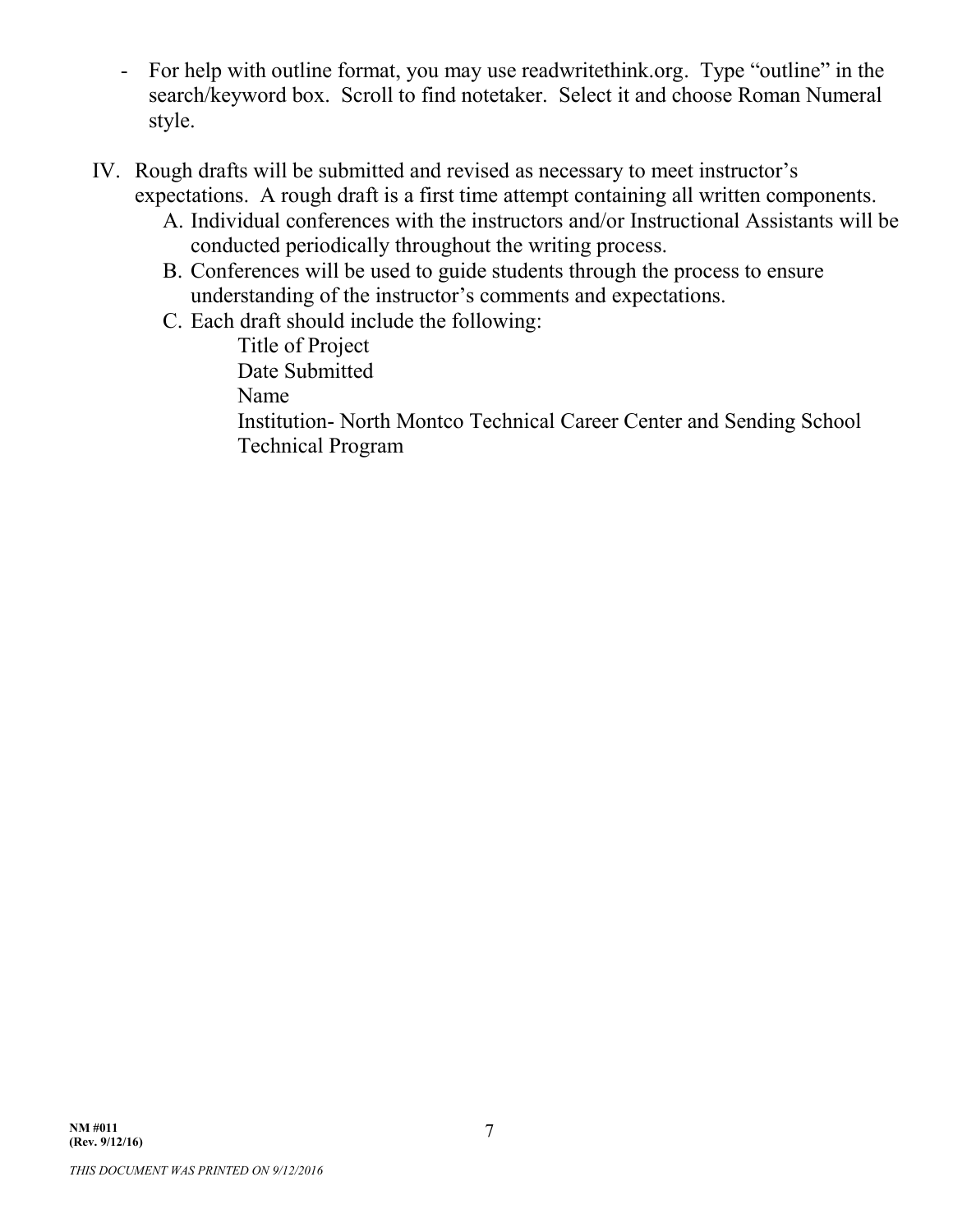- For help with outline format, you may use readwritethink.org. Type "outline" in the search/keyword box. Scroll to find notetaker. Select it and choose Roman Numeral style.
- IV. Rough drafts will be submitted and revised as necessary to meet instructor's expectations. A rough draft is a first time attempt containing all written components.
	- A. Individual conferences with the instructors and/or Instructional Assistants will be conducted periodically throughout the writing process.
	- B. Conferences will be used to guide students through the process to ensure understanding of the instructor's comments and expectations.
	- C. Each draft should include the following:

Title of Project Date Submitted Name Institution- North Montco Technical Career Center and Sending School Technical Program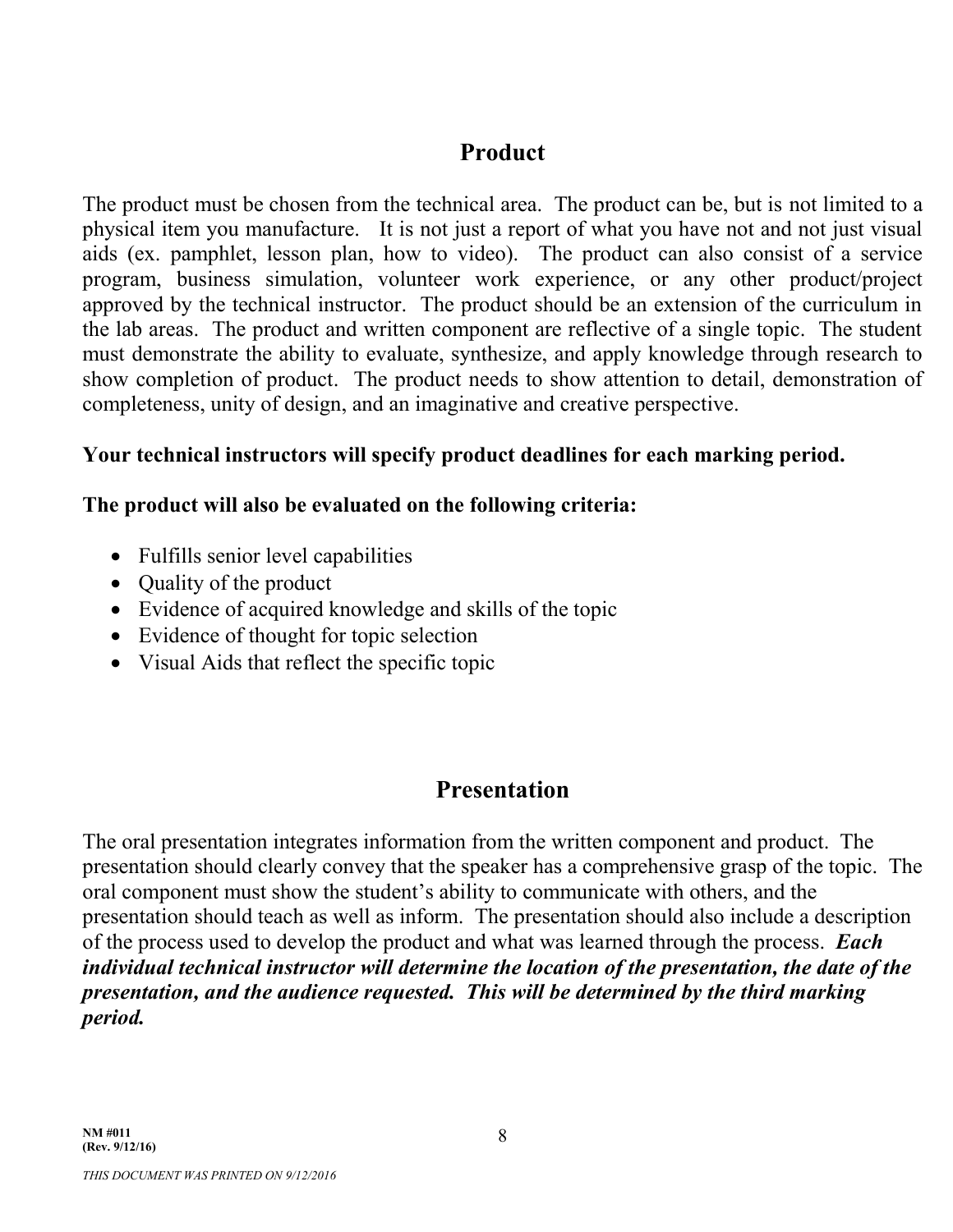#### **Product**

The product must be chosen from the technical area. The product can be, but is not limited to a physical item you manufacture. It is not just a report of what you have not and not just visual aids (ex. pamphlet, lesson plan, how to video). The product can also consist of a service program, business simulation, volunteer work experience, or any other product/project approved by the technical instructor. The product should be an extension of the curriculum in the lab areas. The product and written component are reflective of a single topic. The student must demonstrate the ability to evaluate, synthesize, and apply knowledge through research to show completion of product. The product needs to show attention to detail, demonstration of completeness, unity of design, and an imaginative and creative perspective.

#### **Your technical instructors will specify product deadlines for each marking period.**

#### **The product will also be evaluated on the following criteria:**

- Fulfills senior level capabilities
- Quality of the product
- Evidence of acquired knowledge and skills of the topic
- Evidence of thought for topic selection
- Visual Aids that reflect the specific topic

### **Presentation**

The oral presentation integrates information from the written component and product. The presentation should clearly convey that the speaker has a comprehensive grasp of the topic. The oral component must show the student's ability to communicate with others, and the presentation should teach as well as inform. The presentation should also include a description of the process used to develop the product and what was learned through the process. *Each individual technical instructor will determine the location of the presentation, the date of the presentation, and the audience requested. This will be determined by the third marking period.*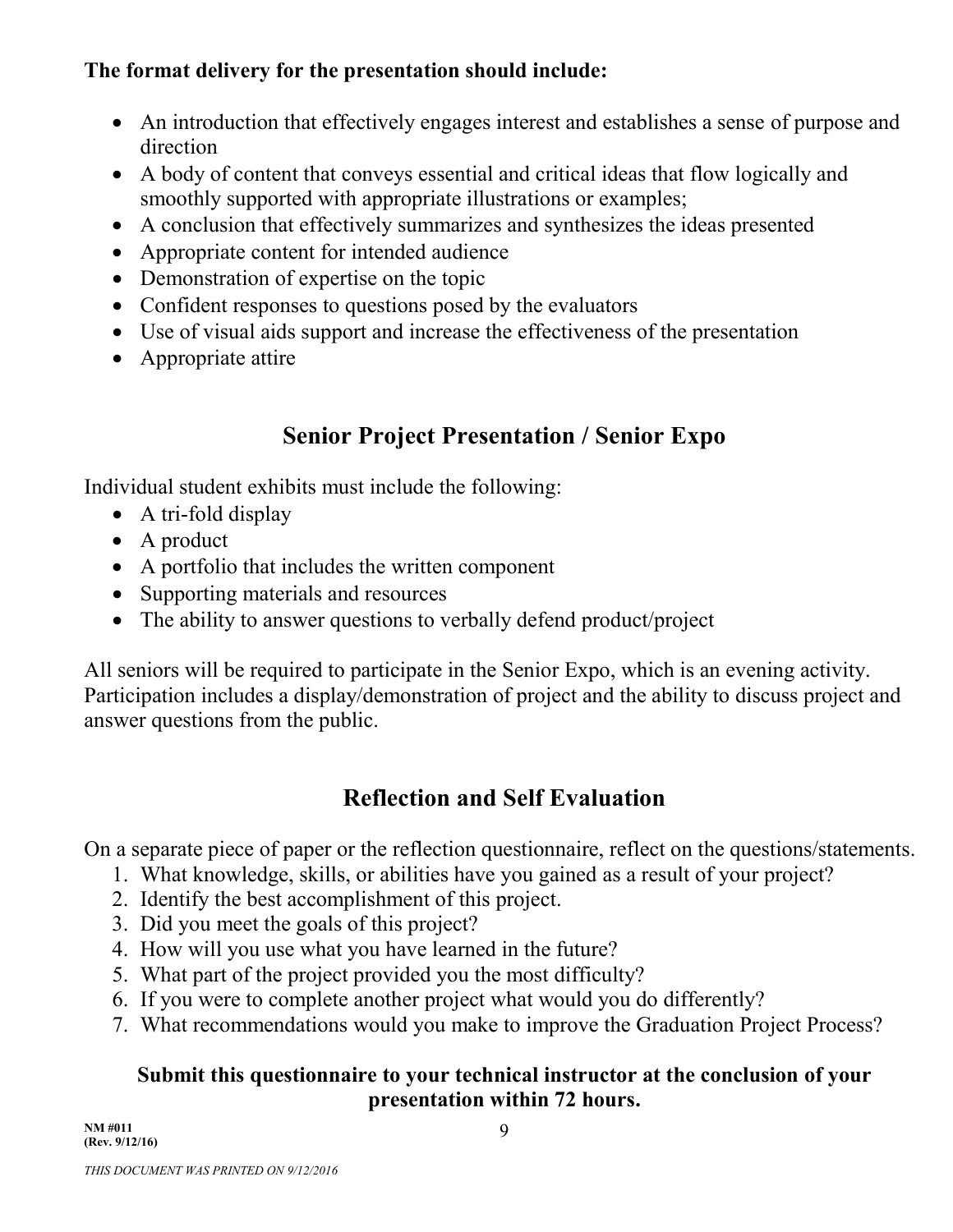#### **The format delivery for the presentation should include:**

- An introduction that effectively engages interest and establishes a sense of purpose and direction
- A body of content that conveys essential and critical ideas that flow logically and smoothly supported with appropriate illustrations or examples;
- A conclusion that effectively summarizes and synthesizes the ideas presented
- Appropriate content for intended audience
- Demonstration of expertise on the topic
- Confident responses to questions posed by the evaluators
- Use of visual aids support and increase the effectiveness of the presentation
- Appropriate attire

## **Senior Project Presentation / Senior Expo**

Individual student exhibits must include the following:

- A tri-fold display
- A product
- A portfolio that includes the written component
- Supporting materials and resources
- The ability to answer questions to verbally defend product/project

All seniors will be required to participate in the Senior Expo, which is an evening activity. Participation includes a display/demonstration of project and the ability to discuss project and answer questions from the public.

## **Reflection and Self Evaluation**

On a separate piece of paper or the reflection questionnaire, reflect on the questions/statements.

- 1. What knowledge, skills, or abilities have you gained as a result of your project?
- 2. Identify the best accomplishment of this project.
- 3. Did you meet the goals of this project?
- 4. How will you use what you have learned in the future?
- 5. What part of the project provided you the most difficulty?
- 6. If you were to complete another project what would you do differently?
- 7. What recommendations would you make to improve the Graduation Project Process?

#### **Submit this questionnaire to your technical instructor at the conclusion of your presentation within 72 hours.**

**NM #011 (Rev. 9/12/16)**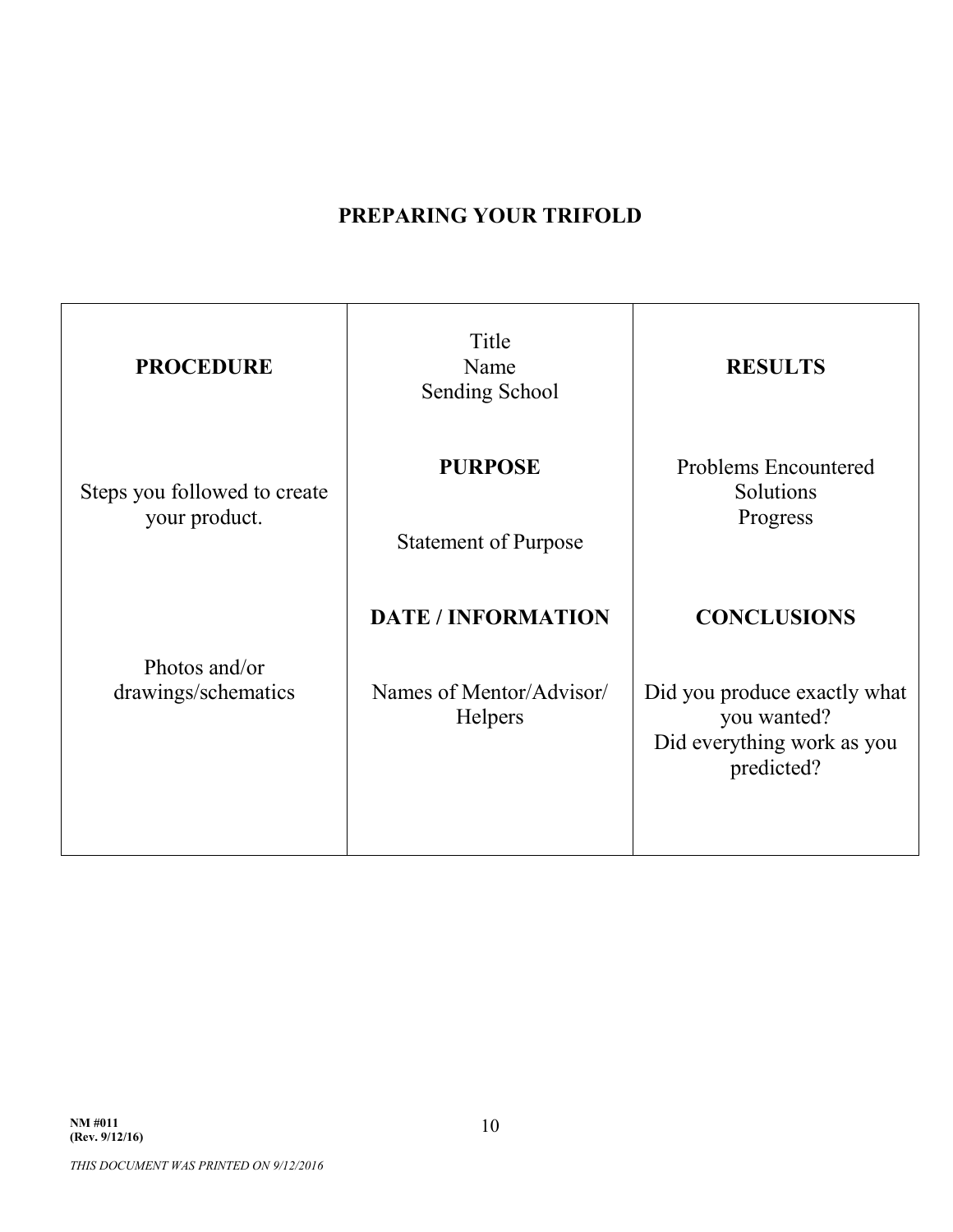#### **PREPARING YOUR TRIFOLD**

| <b>PROCEDURE</b>                              | Title<br>Name<br>Sending School                          | <b>RESULTS</b>                                                                          |  |
|-----------------------------------------------|----------------------------------------------------------|-----------------------------------------------------------------------------------------|--|
| Steps you followed to create<br>your product. | <b>PURPOSE</b>                                           | <b>Problems Encountered</b><br>Solutions<br>Progress<br><b>CONCLUSIONS</b>              |  |
|                                               | <b>Statement of Purpose</b><br><b>DATE / INFORMATION</b> |                                                                                         |  |
| Photos and/or<br>drawings/schematics          | Names of Mentor/Advisor/<br><b>Helpers</b>               | Did you produce exactly what<br>you wanted?<br>Did everything work as you<br>predicted? |  |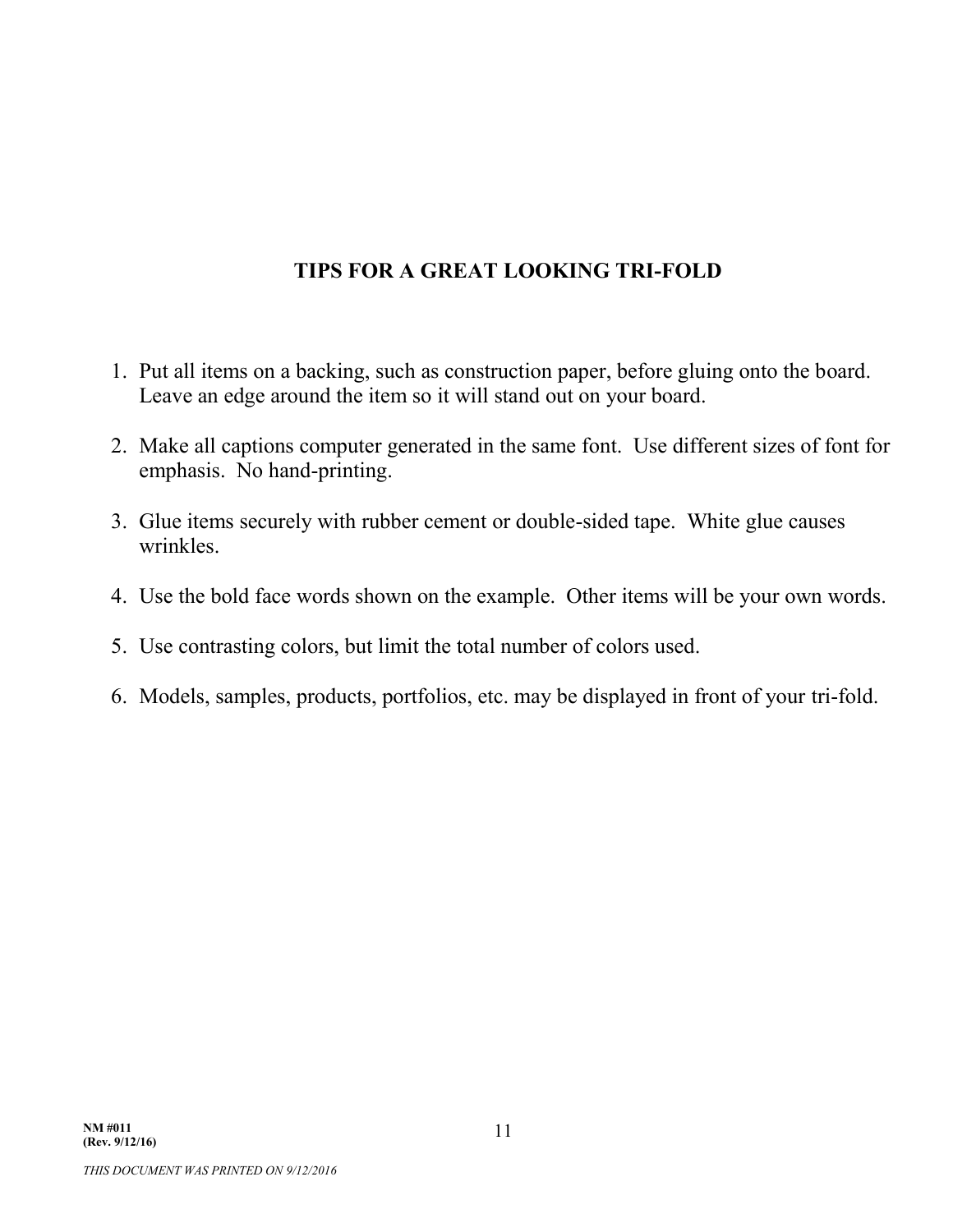#### **TIPS FOR A GREAT LOOKING TRI-FOLD**

- 1. Put all items on a backing, such as construction paper, before gluing onto the board. Leave an edge around the item so it will stand out on your board.
- 2. Make all captions computer generated in the same font. Use different sizes of font for emphasis. No hand-printing.
- 3. Glue items securely with rubber cement or double-sided tape. White glue causes wrinkles.
- 4. Use the bold face words shown on the example. Other items will be your own words.
- 5. Use contrasting colors, but limit the total number of colors used.
- 6. Models, samples, products, portfolios, etc. may be displayed in front of your tri-fold.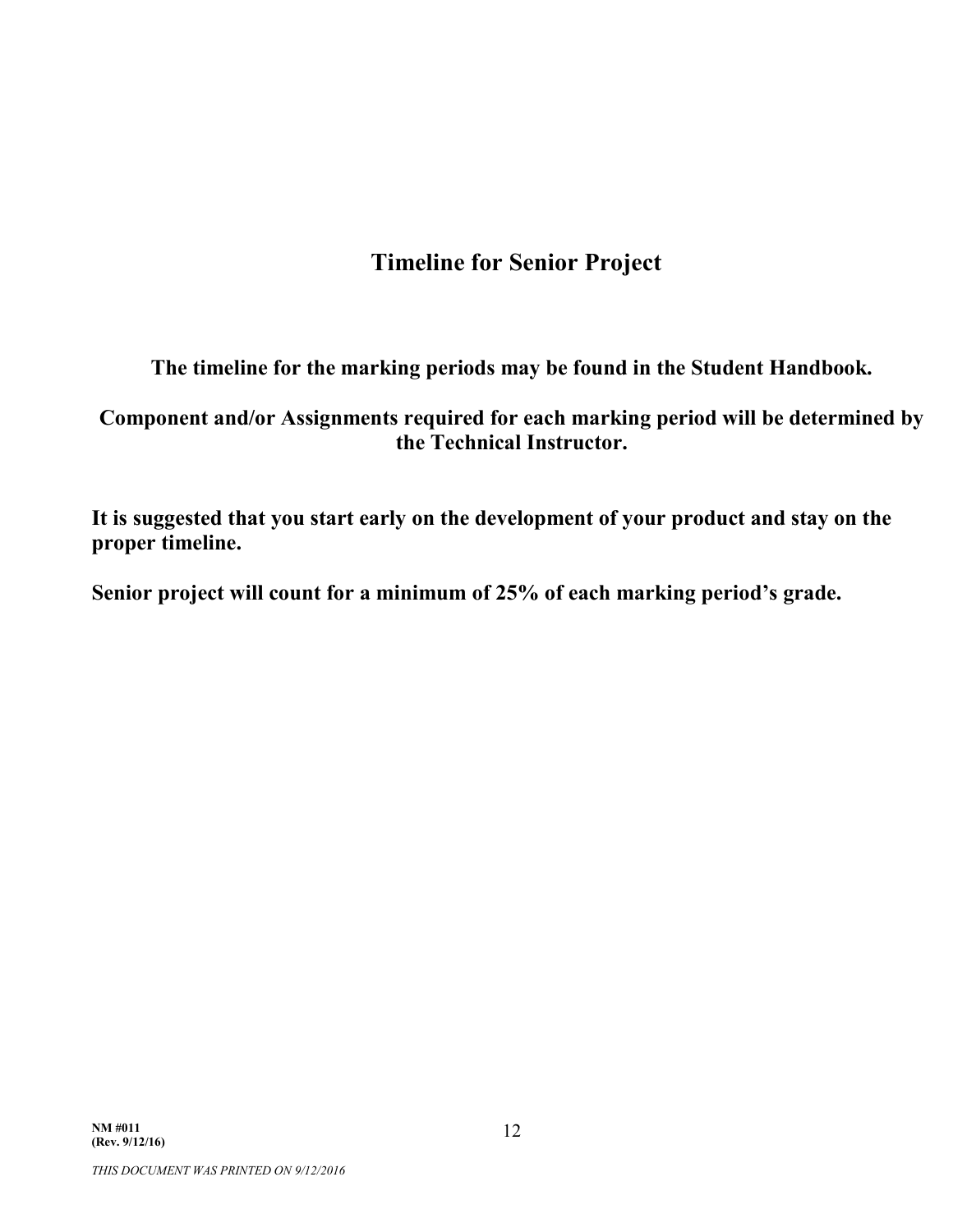### **Timeline for Senior Project**

**The timeline for the marking periods may be found in the Student Handbook.**

#### **Component and/or Assignments required for each marking period will be determined by the Technical Instructor.**

**It is suggested that you start early on the development of your product and stay on the proper timeline.**

**Senior project will count for a minimum of 25% of each marking period's grade.**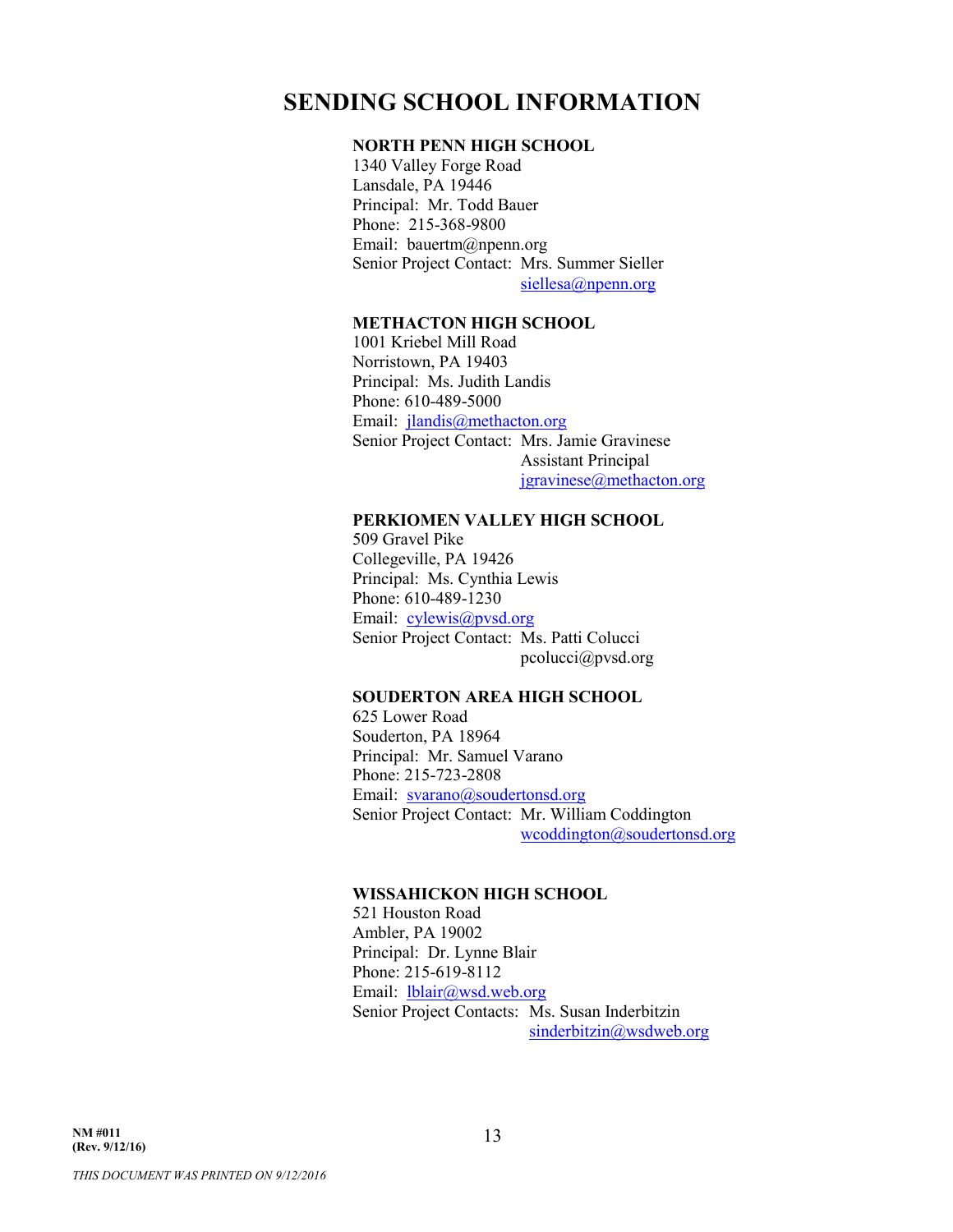#### **SENDING SCHOOL INFORMATION**

#### **NORTH PENN HIGH SCHOOL**

1340 Valley Forge Road Lansdale, PA 19446 Principal: Mr. Todd Bauer Phone: 215-368-9800 Email: bauertm@npenn.org Senior Project Contact: Mrs. Summer Sieller siellesa@npenn.org

#### **METHACTON HIGH SCHOOL**

1001 Kriebel Mill Road Norristown, PA 19403 Principal: Ms. Judith Landis Phone: 610-489-5000 Email: jlandis@methacton.org Senior Project Contact: Mrs. Jamie Gravinese Assistant Principal jgravinese@methacton.org

#### **PERKIOMEN VALLEY HIGH SCHOOL**

509 Gravel Pike Collegeville, PA 19426 Principal: Ms. Cynthia Lewis Phone: 610-489-1230 Email: cylewis@pvsd.org Senior Project Contact: Ms. Patti Colucci pcolucci@pvsd.org

#### **SOUDERTON AREA HIGH SCHOOL**

625 Lower Road Souderton, PA 18964 Principal: Mr. Samuel Varano Phone: 215-723-2808 Email: svarano@soudertonsd.org Senior Project Contact: Mr. William Coddington wcoddington@soudertonsd.org

#### **WISSAHICKON HIGH SCHOOL**

521 Houston Road Ambler, PA 19002 Principal: Dr. Lynne Blair Phone: 215-619-8112 Email: lblair@wsd.web.org Senior Project Contacts: Ms. Susan Inderbitzin sinderbitzin@wsdweb.org